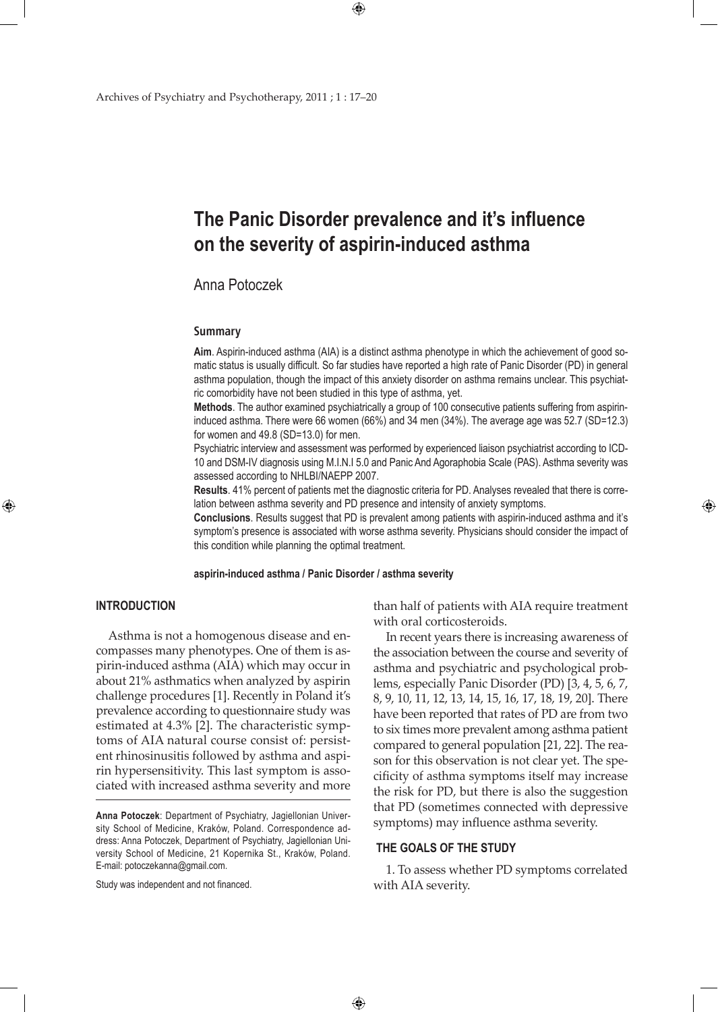# **The Panic Disorder prevalence and it's influence on the severity of aspirin-induced asthma**

 $\bigoplus$ 

# Anna Potoczek

#### **Summary**

**Aim**. Aspirin-induced asthma (AIA) is a distinct asthma phenotype in which the achievement of good somatic status is usually difficult. So far studies have reported a high rate of Panic Disorder (PD) in general asthma population, though the impact of this anxiety disorder on asthma remains unclear. This psychiatric comorbidity have not been studied in this type of asthma, yet.

**Methods**. The author examined psychiatrically a group of 100 consecutive patients suffering from aspirininduced asthma. There were 66 women (66%) and 34 men (34%). The average age was 52.7 (SD=12.3) for women and 49.8 (SD=13.0) for men.

Psychiatric interview and assessment was performed by experienced liaison psychiatrist according to ICD-10 and DSM-IV diagnosis using M.I.N.I 5.0 and Panic And Agoraphobia Scale (PAS). Asthma severity was assessed according to NHLBI/NAEPP 2007.

**Results**. 41% percent of patients met the diagnostic criteria for PD. Analyses revealed that there is correlation between asthma severity and PD presence and intensity of anxiety symptoms.

**Conclusions**. Results suggest that PD is prevalent among patients with aspirin-induced asthma and it's symptom's presence is associated with worse asthma severity. Physicians should consider the impact of this condition while planning the optimal treatment.

### **aspirin-induced asthma / Panic Disorder / asthma severity**

# **Introduction**

⊕

 Asthma is not a homogenous disease and encompasses many phenotypes. One of them is aspirin-induced asthma (AIA) which may occur in about 21% asthmatics when analyzed by aspirin challenge procedures [1]. Recently in Poland it's prevalence according to questionnaire study was estimated at 4.3% [2]. The characteristic symptoms of AIA natural course consist of: persistent rhinosinusitis followed by asthma and aspirin hypersensitivity. This last symptom is associated with increased asthma severity and more

Study was independent and not financed.

than half of patients with AIA require treatment with oral corticosteroids.

⊕

 In recent years there is increasing awareness of the association between the course and severity of asthma and psychiatric and psychological problems, especially Panic Disorder (PD) [3, 4, 5, 6, 7, 8, 9, 10, 11, 12, 13, 14, 15, 16, 17, 18, 19, 20]. There have been reported that rates of PD are from two to six times more prevalent among asthma patient compared to general population [21, 22]. The reason for this observation is not clear yet. The specificity of asthma symptoms itself may increase the risk for PD, but there is also the suggestion that PD (sometimes connected with depressive symptoms) may influence asthma severity.

# **The goals of the study**

 $\bigoplus$ 

1. To assess whether PD symptoms correlated with AIA severity.

**Anna Potoczek**: Department of Psychiatry, Jagiellonian University School of Medicine, Kraków, Poland. Correspondence address: Anna Potoczek, Department of Psychiatry, Jagiellonian University School of Medicine, 21 Kopernika St., Kraków, Poland. E-mail: potoczekanna@gmail.com.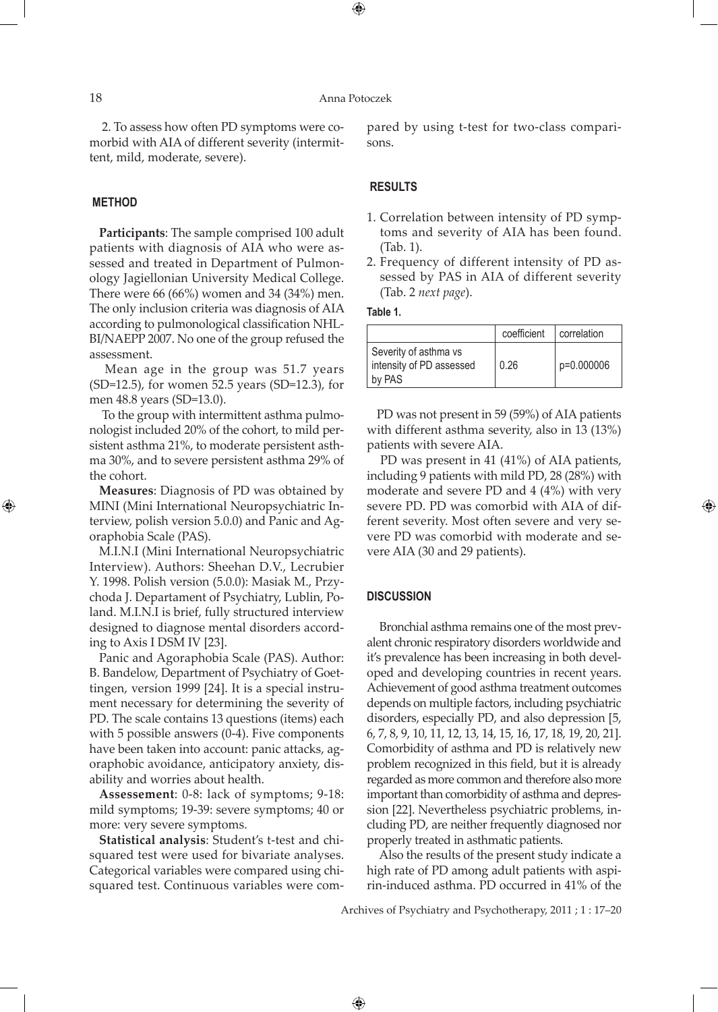⊕

2. To assess how often PD symptoms were comorbid with AIA of different severity (intermittent, mild, moderate, severe).

#### **Method**

⊕

**Participants**: The sample comprised 100 adult patients with diagnosis of AIA who were assessed and treated in Department of Pulmonology Jagiellonian University Medical College. There were 66 (66%) women and 34 (34%) men. The only inclusion criteria was diagnosis of AIA according to pulmonological classification NHL-BI/NAEPP 2007. No one of the group refused the assessment.

 Mean age in the group was 51.7 years (SD=12.5), for women 52.5 years (SD=12.3), for men 48.8 years (SD=13.0).

 To the group with intermittent asthma pulmonologist included 20% of the cohort, to mild persistent asthma 21%, to moderate persistent asthma 30%, and to severe persistent asthma 29% of the cohort.

**Measures**: Diagnosis of PD was obtained by MINI (Mini International Neuropsychiatric Interview, polish version 5.0.0) and Panic and Agoraphobia Scale (PAS).

M.I.N.I (Mini International Neuropsychiatric Interview). Authors: Sheehan D.V., Lecrubier Y. 1998. Polish version (5.0.0): Masiak M., Przychoda J. Departament of Psychiatry, Lublin, Poland. M.I.N.I is brief, fully structured interview designed to diagnose mental disorders according to Axis I DSM IV [23].

Panic and Agoraphobia Scale (PAS). Author: B. Bandelow, Department of Psychiatry of Goettingen, version 1999 [24]. It is a special instrument necessary for determining the severity of PD. The scale contains 13 questions (items) each with 5 possible answers (0-4). Five components have been taken into account: panic attacks, agoraphobic avoidance, anticipatory anxiety, disability and worries about health.

**Assessement**: 0-8: lack of symptoms; 9-18: mild symptoms; 19-39: severe symptoms; 40 or more: very severe symptoms.

**Statistical analysis**: Student's t-test and chisquared test were used for bivariate analyses. Categorical variables were compared using chisquared test. Continuous variables were compared by using t-test for two-class comparisons.

# **Results**

- 1. Correlation between intensity of PD symptoms and severity of AIA has been found. (Tab. 1).
- 2. Frequency of different intensity of PD assessed by PAS in AIA of different severity (Tab. 2 *next page*).

# **Table 1.**

|                                                             | coefficient | correlation |
|-------------------------------------------------------------|-------------|-------------|
| Severity of asthma vs<br>intensity of PD assessed<br>by PAS | 0.26        | p=0.000006  |

PD was not present in 59 (59%) of AIA patients with different asthma severity, also in 13 (13%) patients with severe AIA.

PD was present in 41 (41%) of AIA patients, including 9 patients with mild PD, 28 (28%) with moderate and severe PD and 4 (4%) with very severe PD. PD was comorbid with AIA of different severity. Most often severe and very severe PD was comorbid with moderate and severe AIA (30 and 29 patients).

⊕

#### **Discussion**

 $\bigoplus$ 

 Bronchial asthma remains one of the most prevalent chronic respiratory disorders worldwide and it's prevalence has been increasing in both developed and developing countries in recent years. Achievement of good asthma treatment outcomes depends on multiple factors, including psychiatric disorders, especially PD, and also depression [5, 6, 7, 8, 9, 10, 11, 12, 13, 14, 15, 16, 17, 18, 19, 20, 21]. Comorbidity of asthma and PD is relatively new problem recognized in this field, but it is already regarded as more common and therefore also more important than comorbidity of asthma and depression [22]. Nevertheless psychiatric problems, including PD, are neither frequently diagnosed nor properly treated in asthmatic patients.

 Also the results of the present study indicate a high rate of PD among adult patients with aspirin-induced asthma. PD occurred in 41% of the

Archives of Psychiatry and Psychotherapy, 2011 ; 1 : 17–20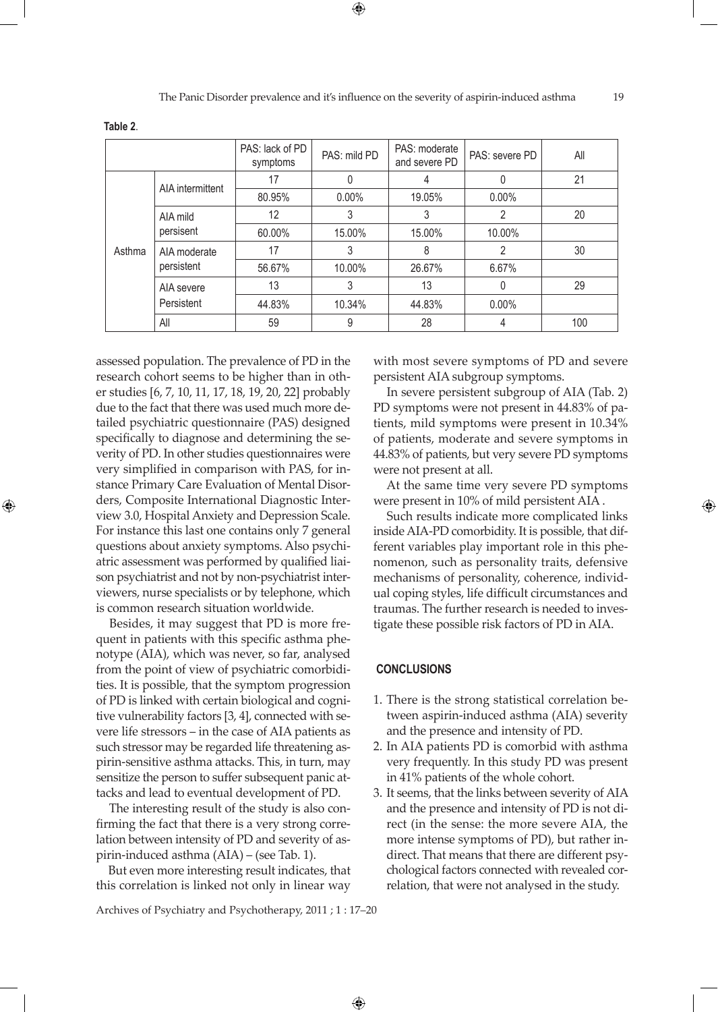The Panic Disorder prevalence and it's influence on the severity of aspirin-induced asthma 19

|        |                            | PAS: lack of PD<br>symptoms | PAS: mild PD | PAS: moderate<br>and severe PD | PAS: severe PD | All |
|--------|----------------------------|-----------------------------|--------------|--------------------------------|----------------|-----|
| Asthma | AIA intermittent           | 17                          |              |                                | 0              | 21  |
|        |                            | 80.95%                      | $0.00\%$     | 19.05%                         | $0.00\%$       |     |
|        | AIA mild<br>persisent      | 12                          | 3            | 3                              | 2              | 20  |
|        |                            | 60.00%                      | 15.00%       | 15.00%                         | 10.00%         |     |
|        | AIA moderate<br>persistent | 17                          | 3            | 8                              | 2              | 30  |
|        |                            | 56.67%                      | 10.00%       | 26.67%                         | 6.67%          |     |
|        | AIA severe<br>Persistent   | 13                          | 3            | 13                             | 0              | 29  |
|        |                            | 44.83%                      | 10.34%       | 44.83%                         | $0.00\%$       |     |
|        | All                        | 59                          | 9            | 28                             |                | 100 |

**Table 2**.

⊕

assessed population. The prevalence of PD in the research cohort seems to be higher than in other studies [6, 7, 10, 11, 17, 18, 19, 20, 22] probably due to the fact that there was used much more detailed psychiatric questionnaire (PAS) designed specifically to diagnose and determining the severity of PD. In other studies questionnaires were very simplified in comparison with PAS, for instance Primary Care Evaluation of Mental Disorders, Composite International Diagnostic Interview 3.0, Hospital Anxiety and Depression Scale. For instance this last one contains only 7 general questions about anxiety symptoms. Also psychiatric assessment was performed by qualified liaison psychiatrist and not by non-psychiatrist interviewers, nurse specialists or by telephone, which is common research situation worldwide.

Besides, it may suggest that PD is more frequent in patients with this specific asthma phenotype (AIA), which was never, so far, analysed from the point of view of psychiatric comorbidities. It is possible, that the symptom progression of PD is linked with certain biological and cognitive vulnerability factors [3, 4], connected with severe life stressors – in the case of AIA patients as such stressor may be regarded life threatening aspirin-sensitive asthma attacks. This, in turn, may sensitize the person to suffer subsequent panic attacks and lead to eventual development of PD.

 The interesting result of the study is also confirming the fact that there is a very strong correlation between intensity of PD and severity of aspirin-induced asthma (AIA) – (see Tab. 1).

 But even more interesting result indicates, that this correlation is linked not only in linear way with most severe symptoms of PD and severe persistent AIA subgroup symptoms.

 In severe persistent subgroup of AIA (Tab. 2) PD symptoms were not present in 44.83% of patients, mild symptoms were present in 10.34% of patients, moderate and severe symptoms in 44.83% of patients, but very severe PD symptoms were not present at all.

At the same time very severe PD symptoms were present in 10% of mild persistent AIA .

 Such results indicate more complicated links inside AIA-PD comorbidity. It is possible, that different variables play important role in this phenomenon, such as personality traits, defensive mechanisms of personality, coherence, individual coping styles, life difficult circumstances and traumas. The further research is needed to investigate these possible risk factors of PD in AIA.

# **Conclusions**

- 1. There is the strong statistical correlation between aspirin-induced asthma (AIA) severity and the presence and intensity of PD.
- 2. In AIA patients PD is comorbid with asthma very frequently. In this study PD was present in 41% patients of the whole cohort.
- 3. It seems, that the links between severity of AIA and the presence and intensity of PD is not direct (in the sense: the more severe AIA, the more intense symptoms of PD), but rather indirect. That means that there are different psychological factors connected with revealed correlation, that were not analysed in the study.

Archives of Psychiatry and Psychotherapy, 2011 ; 1 : 17–20

 $\bigoplus$